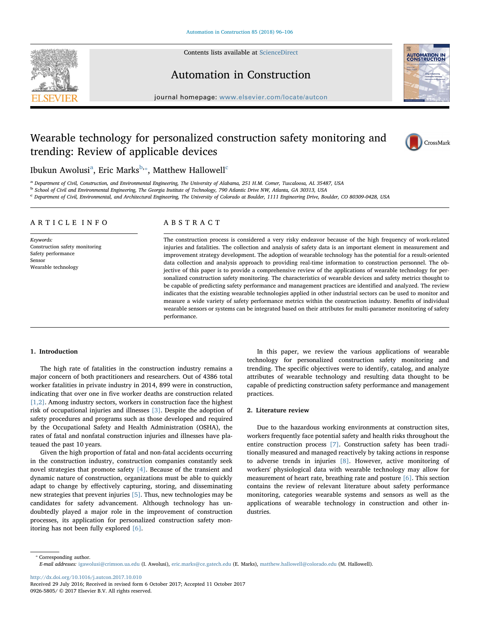

Contents lists available at [ScienceDirect](http://www.sciencedirect.com/science/journal/09265805)

Automation in Construction



journal homepage: [www.elsevier.com/locate/autcon](https://www.elsevier.com/locate/autcon)

## Wearable technology for personalized construction safety monitoring and trending: Review of applicable devices



Ibukun Awolusi $^{\rm a}$ , Eric Marks $^{\rm b, *}$ , Matthew Hallowell $^{\rm c}$ 

<sup>a</sup> Department of Civil, Construction, and Environmental Engineering, The University of Alabama, 251 H.M. Comer, Tuscaloosa, AL 35487, USA

<sup>b</sup> School of Civil and Environmental Engineering, The Georgia Institute of Technology, 790 Atlantic Drive NW, Atlanta, GA 30313, USA

<sup>c</sup> Department of Civil, Environmental, and Architectural Engineering, The University of Colorado at Boulder, 1111 Engineering Drive, Boulder, CO 80309-0428, USA

#### ARTICLE INFO

Keywords: Construction safety monitoring Safety performance Sensor Wearable technology

### ABSTRACT

The construction process is considered a very risky endeavor because of the high frequency of work-related injuries and fatalities. The collection and analysis of safety data is an important element in measurement and improvement strategy development. The adoption of wearable technology has the potential for a result-oriented data collection and analysis approach to providing real-time information to construction personnel. The objective of this paper is to provide a comprehensive review of the applications of wearable technology for personalized construction safety monitoring. The characteristics of wearable devices and safety metrics thought to be capable of predicting safety performance and management practices are identified and analyzed. The review indicates that the existing wearable technologies applied in other industrial sectors can be used to monitor and measure a wide variety of safety performance metrics within the construction industry. Benefits of individual wearable sensors or systems can be integrated based on their attributes for multi-parameter monitoring of safety performance.

#### 1. Introduction

The high rate of fatalities in the construction industry remains a major concern of both practitioners and researchers. Out of 4386 total worker fatalities in private industry in 2014, 899 were in construction, indicating that over one in five worker deaths are construction related [1,2]. Among industry sectors, workers in construction face the highest risk of occupational injuries and illnesses [3]. Despite the adoption of safety procedures and programs such as those developed and required by the Occupational Safety and Health Administration (OSHA), the rates of fatal and nonfatal construction injuries and illnesses have plateaued the past 10 years.

Given the high proportion of fatal and non-fatal accidents occurring in the construction industry, construction companies constantly seek novel strategies that promote safety [4]. Because of the transient and dynamic nature of construction, organizations must be able to quickly adapt to change by effectively capturing, storing, and disseminating new strategies that prevent injuries [5]. Thus, new technologies may be candidates for safety advancement. Although technology has undoubtedly played a major role in the improvement of construction processes, its application for personalized construction safety monitoring has not been fully explored [6].

In this paper, we review the various applications of wearable technology for personalized construction safety monitoring and trending. The specific objectives were to identify, catalog, and analyze attributes of wearable technology and resulting data thought to be capable of predicting construction safety performance and management practices.

#### 2. Literature review

Due to the hazardous working environments at construction sites, workers frequently face potential safety and health risks throughout the entire construction process [7]. Construction safety has been traditionally measured and managed reactively by taking actions in response to adverse trends in injuries [8]. However, active monitoring of workers' physiological data with wearable technology may allow for measurement of heart rate, breathing rate and posture [6]. This section contains the review of relevant literature about safety performance monitoring, categories wearable systems and sensors as well as the applications of wearable technology in construction and other industries.

⁎ Corresponding author. E-mail addresses: [igawolusi@crimson.ua.edu](mailto:igawolusi@crimson.ua.edu) (I. Awolusi), [eric.marks@ce.gatech.edu](mailto:eric.marks@ce.gatech.edu) (E. Marks), [matthew.hallowell@colorado.edu](mailto:matthew.hallowell@colorado.edu) (M. Hallowell).

<http://dx.doi.org/10.1016/j.autcon.2017.10.010>

Received 29 July 2016; Received in revised form 6 October 2017; Accepted 11 October 2017 0926-5805/ © 2017 Elsevier B.V. All rights reserved.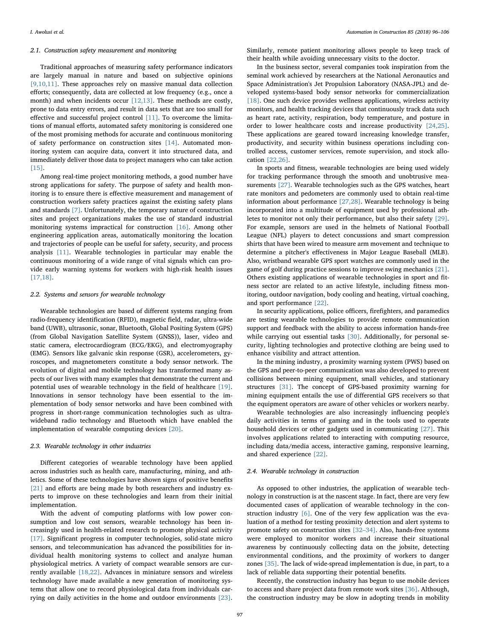#### 2.1. Construction safety measurement and monitoring

Traditional approaches of measuring safety performance indicators are largely manual in nature and based on subjective opinions [9,10,11]. These approaches rely on massive manual data collection efforts; consequently, data are collected at low frequency (e.g., once a month) and when incidents occur [12,13]. These methods are costly, prone to data entry errors, and result in data sets that are too small for effective and successful project control [11]. To overcome the limitations of manual efforts, automated safety monitoring is considered one of the most promising methods for accurate and continuous monitoring of safety performance on construction sites [14]. Automated monitoring system can acquire data, convert it into structured data, and immediately deliver those data to project managers who can take action [15].

Among real-time project monitoring methods, a good number have strong applications for safety. The purpose of safety and health monitoring is to ensure there is effective measurement and management of construction workers safety practices against the existing safety plans and standards [7]. Unfortunately, the temporary nature of construction sites and project organizations makes the use of standard industrial monitoring systems impractical for construction [16]. Among other engineering application areas, automatically monitoring the location and trajectories of people can be useful for safety, security, and process analysis [11]. Wearable technologies in particular may enable the continuous monitoring of a wide range of vital signals which can provide early warning systems for workers with high-risk health issues [17,18].

#### 2.2. Systems and sensors for wearable technology

Wearable technologies are based of different systems ranging from radio-frequency identification (RFID), magnetic field, radar, ultra-wide band (UWB), ultrasonic, sonar, Bluetooth, Global Positing System (GPS) (from Global Navigation Satellite System (GNSS)), laser, video and static camera, electrocardiogram (ECG/EKG), and electromyography (EMG). Sensors like galvanic skin response (GSR), accelerometers, gyroscopes, and magnetometers constitute a body sensor network. The evolution of digital and mobile technology has transformed many aspects of our lives with many examples that demonstrate the current and potential uses of wearable technology in the field of healthcare [19]. Innovations in sensor technology have been essential to the implementation of body sensor networks and have been combined with progress in short-range communication technologies such as ultrawideband radio technology and Bluetooth which have enabled the implementation of wearable computing devices [20].

#### 2.3. Wearable technology in other industries

Different categories of wearable technology have been applied across industries such as health care, manufacturing, mining, and athletics. Some of these technologies have shown signs of positive benefits [21] and efforts are being made by both researchers and industry experts to improve on these technologies and learn from their initial implementation.

With the advent of computing platforms with low power consumption and low cost sensors, wearable technology has been increasingly used in health-related research to promote physical activity [17]. Significant progress in computer technologies, solid-state micro sensors, and telecommunication has advanced the possibilities for individual health monitoring systems to collect and analyze human physiological metrics. A variety of compact wearable sensors are currently available [18,22]. Advances in miniature sensors and wireless technology have made available a new generation of monitoring systems that allow one to record physiological data from individuals carrying on daily activities in the home and outdoor environments [23].

Similarly, remote patient monitoring allows people to keep track of their health while avoiding unnecessary visits to the doctor.

In the business sector, several companies took inspiration from the seminal work achieved by researchers at the National Aeronautics and Space Administration's Jet Propulsion Laboratory (NASA-JPL) and developed systems-based body sensor networks for commercialization [18]. One such device provides wellness applications, wireless activity monitors, and health tracking devices that continuously track data such as heart rate, activity, respiration, body temperature, and posture in order to lower healthcare costs and increase productivity [24,25]. These applications are geared toward increasing knowledge transfer, productivity, and security within business operations including controlled access, customer services, remote supervision, and stock allocation [22,26].

In sports and fitness, wearable technologies are being used widely for tracking performance through the smooth and unobtrusive measurements [27]. Wearable technologies such as the GPS watches, heart rate monitors and pedometers are commonly used to obtain real-time information about performance [27,28]. Wearable technology is being incorporated into a multitude of equipment used by professional athletes to monitor not only their performance, but also their safety [29]. For example, sensors are used in the helmets of National Football League (NFL) players to detect concussions and smart compression shirts that have been wired to measure arm movement and technique to determine a pitcher's effectiveness in Major League Baseball (MLB). Also, wristband wearable GPS sport watches are commonly used in the game of golf during practice sessions to improve swing mechanics [21]. Others existing applications of wearable technologies in sport and fitness sector are related to an active lifestyle, including fitness monitoring, outdoor navigation, body cooling and heating, virtual coaching, and sport performance [22].

In security applications, police officers, firefighters, and paramedics are testing wearable technologies to provide remote communication support and feedback with the ability to access information hands-free while carrying out essential tasks [30]. Additionally, for personal security, lighting technologies and protective clothing are being used to enhance visibility and attract attention.

In the mining industry, a proximity warning system (PWS) based on the GPS and peer-to-peer communication was also developed to prevent collisions between mining equipment, small vehicles, and stationary structures [31]. The concept of GPS-based proximity warning for mining equipment entails the use of differential GPS receivers so that the equipment operators are aware of other vehicles or workers nearby.

Wearable technologies are also increasingly influencing people's daily activities in terms of gaming and in the tools used to operate household devices or other gadgets used in communicating [27]. This involves applications related to interacting with computing resource, including data/media access, interactive gaming, responsive learning, and shared experience [22].

#### 2.4. Wearable technology in construction

As opposed to other industries, the application of wearable technology in construction is at the nascent stage. In fact, there are very few documented cases of application of wearable technology in the construction industry [6]. One of the very few application was the evaluation of a method for testing proximity detection and alert systems to promote safety on construction sites [32–34]. Also, hands-free systems were employed to monitor workers and increase their situational awareness by continuously collecting data on the jobsite, detecting environmental conditions, and the proximity of workers to danger zones [35]. The lack of wide-spread implementation is due, in part, to a lack of reliable data supporting their potential benefits.

Recently, the construction industry has begun to use mobile devices to access and share project data from remote work sites [36]. Although, the construction industry may be slow in adopting trends in mobility